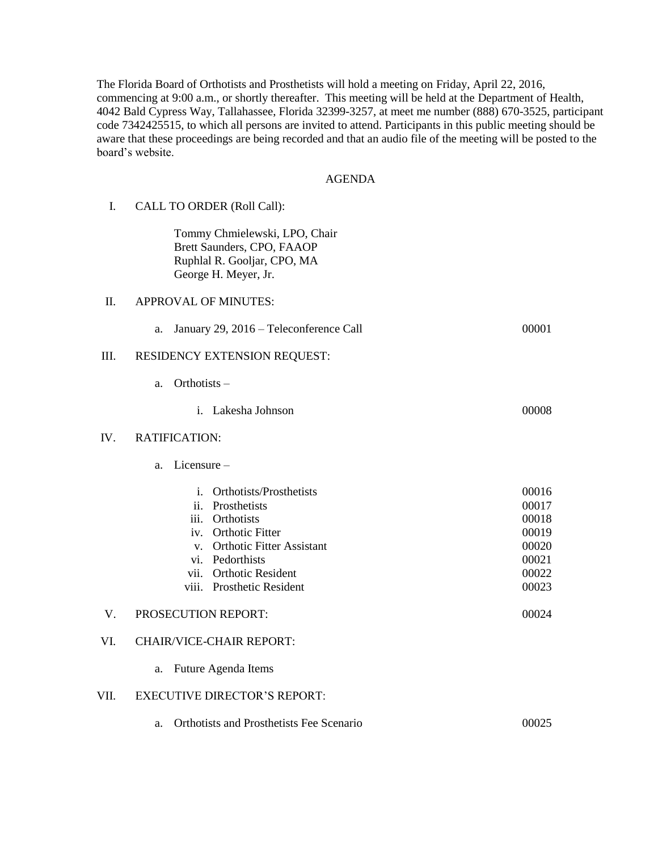The Florida Board of Orthotists and Prosthetists will hold a meeting on Friday, April 22, 2016, commencing at 9:00 a.m., or shortly thereafter. This meeting will be held at the Department of Health, 4042 Bald Cypress Way, Tallahassee, Florida 32399-3257, at meet me number (888) 670-3525, participant code 7342425515, to which all persons are invited to attend. Participants in this public meeting should be aware that these proceedings are being recorded and that an audio file of the meeting will be posted to the board's website.

## AGENDA

| I.   | CALL TO ORDER (Roll Call):                                                                                                                                                                                            |                                                                      |
|------|-----------------------------------------------------------------------------------------------------------------------------------------------------------------------------------------------------------------------|----------------------------------------------------------------------|
|      | Tommy Chmielewski, LPO, Chair<br>Brett Saunders, CPO, FAAOP<br>Ruphlal R. Gooljar, CPO, MA<br>George H. Meyer, Jr.                                                                                                    |                                                                      |
| Π.   | <b>APPROVAL OF MINUTES:</b>                                                                                                                                                                                           |                                                                      |
|      | January 29, 2016 - Teleconference Call<br>a.                                                                                                                                                                          | 00001                                                                |
| III. | RESIDENCY EXTENSION REQUEST:                                                                                                                                                                                          |                                                                      |
|      | Orthotists-<br>a.                                                                                                                                                                                                     |                                                                      |
|      | Lakesha Johnson<br>i.                                                                                                                                                                                                 | 00008                                                                |
| IV.  | <b>RATIFICATION:</b>                                                                                                                                                                                                  |                                                                      |
|      | Licensure $-$<br>a.                                                                                                                                                                                                   |                                                                      |
|      | Orthotists/Prosthetists<br>i.<br>Prosthetists<br>ii.<br>Orthotists<br>iii.<br><b>Orthotic Fitter</b><br>iv.<br>v. Orthotic Fitter Assistant<br>vi. Pedorthists<br>vii. Orthotic Resident<br>viii. Prosthetic Resident | 00016<br>00017<br>00018<br>00019<br>00020<br>00021<br>00022<br>00023 |
| V.   | PROSECUTION REPORT:                                                                                                                                                                                                   | 00024                                                                |
| VI.  | <b>CHAIR/VICE-CHAIR REPORT:</b>                                                                                                                                                                                       |                                                                      |
|      | Future Agenda Items<br>a.                                                                                                                                                                                             |                                                                      |
| VII. | <b>EXECUTIVE DIRECTOR'S REPORT:</b>                                                                                                                                                                                   |                                                                      |
|      | Orthotists and Prosthetists Fee Scenario<br>a.                                                                                                                                                                        | 00025                                                                |